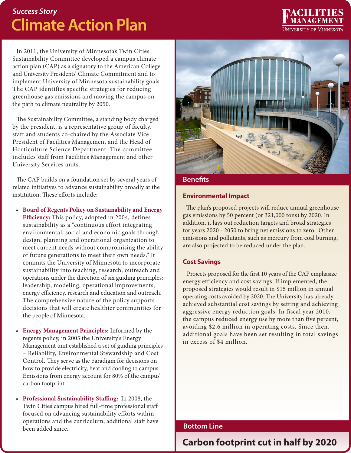# *Success Story* **Climate Action Plan**

In 2011, the University of Minnesota's Twin Cities Sustainability Committee developed a campus climate action plan (CAP) as a signatory to the American College and University Presidents' Climate Commitment and to implement University of Minnesota sustainability goals. The CAP identifies specific strategies for reducing greenhouse gas emissions and moving the campus on the path to climate neutrality by 2050.

The Sustainability Committee, a standing body charged by the president, is a representative group of faculty, staff and students co-chaired by the Associate Vice President of Facilities Management and the Head of Horticulture Science Department. The committee includes staff from Facilities Management and other University Services units.

The CAP builds on a foundation set by several years of related initiatives to advance sustainability broadly at the institution. These efforts include:

- • **Board of Regents Policy on Sustainability and Energy Efficiency:** This policy, adopted in 2004, defines sustainability as a "continuous effort integrating environmental, social and economic goals through design, planning and operational organization to meet current needs without compromising the ability of future generations to meet their own needs." It commits the University of Minnesota to incorporate sustainability into teaching, research, outreach and operations under the direction of six guiding principles: leadership, modeling, operational improvements, energy efficiency, research and education and outreach. The comprehensive nature of the policy supports decisions that will create healthier communities for the people of Minnesota.
- **Energy Management Principles:** Informed by the regents policy, in 2005 the University's Energy Management unit established a set of guiding principles – Reliability, Environmental Stewardship and Cost Control. They serve as the paradigm for decisions on how to provide electricity, heat and cooling to campus. Emissions from energy account for 80% of the campus' carbon footprint.
- • **Professional Sustainability Staffing:** In 2008, the Twin Cities campus hired full-time professional staff focused on advancing sustainability efforts within operations and the curriculum, additional staff have been added since.



**TETAT TES** 

**UNIVERSITY OF MINNESOTA** 

**Benefits**

#### **Environmental Impact**

The plan's proposed projects will reduce annual greenhouse gas emissions by 50 percent (or 321,000 tons) by 2020. In addition, it lays out reduction targets and broad strategies for years 2020 - 2050 to bring net emissions to zero. Other emissions and pollutants, such as mercury from coal burning, are also projected to be reduced under the plan.

## **Cost Savings**

Projects proposed for the first 10 years of the CAP emphasize energy efficiency and cost savings. If implemented, the proposed strategies would result in \$15 million in annual operating costs avoided by 2020. The University has already achieved substantial cost savings by setting and achieving aggressive energy reduction goals. In fiscal year 2010, the campus reduced energy use by more than five percent, avoiding \$2.6 million in operating costs. Since then, additional goals have been set resulting in total savings in excess of \$4 million.

# **Bottom Line**

# **Carbon footprint cut in half by 2020**